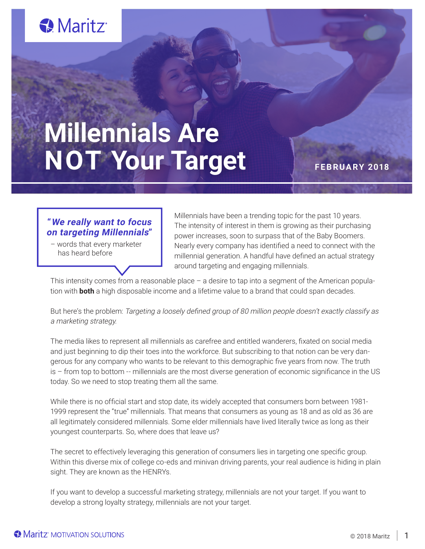# Maritz<sup>®</sup>

# **Millennials Are NOT Your Target** FEBRUARY 2018

# **"We really want to focus on targeting Millennials"**

 – words that every marketer has heard before

Millennials have been a trending topic for the past 10 years. The intensity of interest in them is growing as their purchasing power increases, soon to surpass that of the Baby Boomers. Nearly every company has identified a need to connect with the millennial generation. A handful have defined an actual strategy around targeting and engaging millennials.

This intensity comes from a reasonable place – a desire to tap into a segment of the American population with **both** a high disposable income and a lifetime value to a brand that could span decades.

But here's the problem: Targeting a loosely defined group of 80 million people doesn't exactly classify as a marketing strategy.

The media likes to represent all millennials as carefree and entitled wanderers, fixated on social media and just beginning to dip their toes into the workforce. But subscribing to that notion can be very dangerous for any company who wants to be relevant to this demographic five years from now. The truth is – from top to bottom -- millennials are the most diverse generation of economic significance in the US today. So we need to stop treating them all the same.

While there is no official start and stop date, its widely accepted that consumers born between 1981- 1999 represent the "true" millennials. That means that consumers as young as 18 and as old as 36 are all legitimately considered millennials. Some elder millennials have lived literally twice as long as their youngest counterparts. So, where does that leave us?

The secret to effectively leveraging this generation of consumers lies in targeting one specific group. Within this diverse mix of college co-eds and minivan driving parents, your real audience is hiding in plain sight. They are known as the HENRYs.

If you want to develop a successful marketing strategy, millennials are not your target. If you want to develop a strong loyalty strategy, millennials are not your target.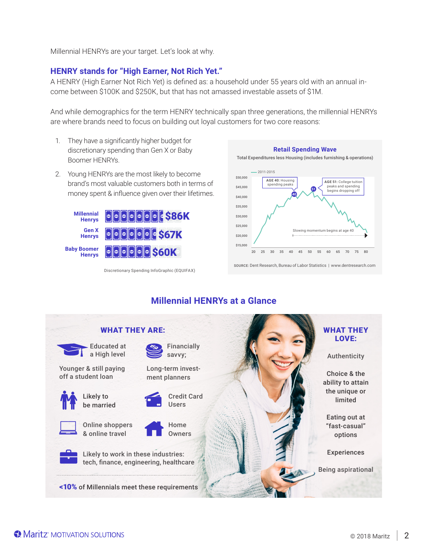Millennial HENRYs are your target. Let's look at why.

### **HENRY stands for "High Earner, Not Rich Yet."**

A HENRY (High Earner Not Rich Yet) is defined as: a household under 55 years old with an annual income between \$100K and \$250K, but that has not amassed investable assets of \$1M.

And while demographics for the term HENRY technically span three generations, the millennial HENRYs are where brands need to focus on building out loyal customers for two core reasons:

- 1. They have a significantly higher budget for discretionary spending than Gen X or Baby Boomer HENRYs.
- 2. Young HENRYs are the most likely to become brand's most valuable customers both in terms of money spent & influence given over their lifetimes.



Discretionary Spending InfoGraphic (EQUIFAX)



SOURCE: Dent Research, Bureau of Labor Statistics | www.dentresearch.com

## **Millennial HENRYs at a Glance**

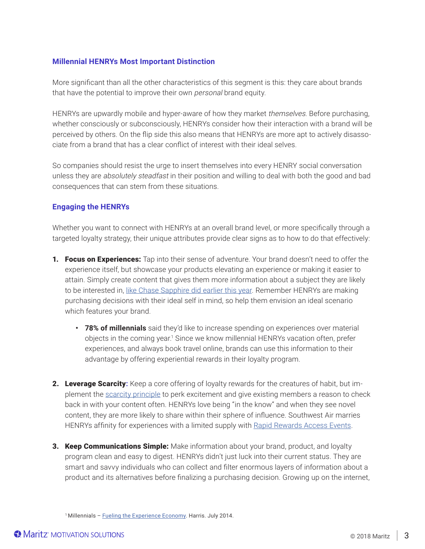#### **Millennial HENRYs Most Important Distinction**

More significant than all the other characteristics of this segment is this: they care about brands that have the potential to improve their own *personal* brand equity.

HENRYs are upwardly mobile and hyper-aware of how they market themselves. Before purchasing, whether consciously or subconsciously, HENRYs consider how their interaction with a brand will be perceived by others. On the flip side this also means that HENRYs are more apt to actively disassociate from a brand that has a clear conflict of interest with their ideal selves.

So companies should resist the urge to insert themselves into every HENRY social conversation unless they are absolutely steadfast in their position and willing to deal with both the good and bad consequences that can stem from these situations.

#### **Engaging the HENRYs**

Whether you want to connect with HENRYs at an overall brand level, or more specifically through a targeted loyalty strategy, their unique attributes provide clear signs as to how to do that effectively:

- 1. Focus on Experiences: Tap into their sense of adventure. Your brand doesn't need to offer the experience itself, but showcase your products elevating an experience or making it easier to attain. Simply create content that gives them more information about a subject they are likely to be interested in, like Chase Sapphire did earlier this year. Remember HENRYs are making purchasing decisions with their ideal self in mind, so help them envision an ideal scenario which features your brand.
	- **• 78% of millennials** said they'd like to increase spending on experiences over material objects in the coming year.<sup>1</sup> Since we know millennial HENRYs vacation often, prefer experiences, and always book travel online, brands can use this information to their advantage by offering experiential rewards in their loyalty program.
- 2. Leverage Scarcity**:** Keep a core offering of loyalty rewards for the creatures of habit, but implement the scarcity principle to perk excitement and give existing members a reason to check back in with your content often. HENRYs love being "in the know" and when they see novel content, they are more likely to share within their sphere of influence. Southwest Air marries HENRYs affinity for experiences with a limited supply with Rapid Rewards Access Events.
- 3. Keep Communications Simple: Make information about your brand, product, and loyalty program clean and easy to digest. HENRYs didn't just luck into their current status. They are smart and savvy individuals who can collect and filter enormous layers of information about a product and its alternatives before finalizing a purchasing decision. Growing up on the internet,

<sup>&</sup>lt;sup>1</sup> Millennials – **Fueling the Experience Economy**. Harris. July 2014.